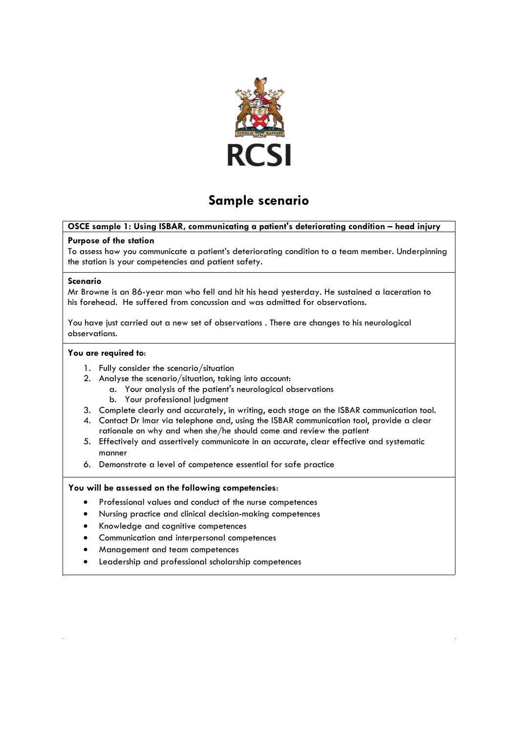

# **Sample scenario**

# **OSCE sample 1: Using ISBAR, communicating a patient's deteriorating condition – head injury**

#### **Purpose of the station**

To assess how you communicate a patient's deteriorating condition to a team member. Underpinning the station is your competencies and patient safety.

#### **Scenario**

Mr Browne is an 86-year man who fell and hit his head yesterday. He sustained a laceration to his forehead. He suffered from concussion and was admitted for observations.

You have just carried out a new set of observations . There are changes to his neurological observations.

#### **You are required to**:

- 1. Fully consider the scenario/situation
- 2. Analyse the scenario/situation, taking into account:
	- a. Your analysis of the patient's neurological observations
	- b. Your professional judgment
- 3. Complete clearly and accurately, in writing, each stage on the ISBAR communication tool.
- 4. Contact Dr Imar via telephone and, using the ISBAR communication tool, provide a clear rationale on why and when she/he should come and review the patient
- 5. Effectively and assertively communicate in an accurate, clear effective and systematic manner
- 6. Demonstrate a level of competence essential for safe practice

# **You will be assessed on the following competencies**:

- Professional values and conduct of the nurse competences
- Nursing practice and clinical decision-making competences
- Knowledge and cognitive competences
- Communication and interpersonal competences
- Management and team competences
- Leadership and professional scholarship competences